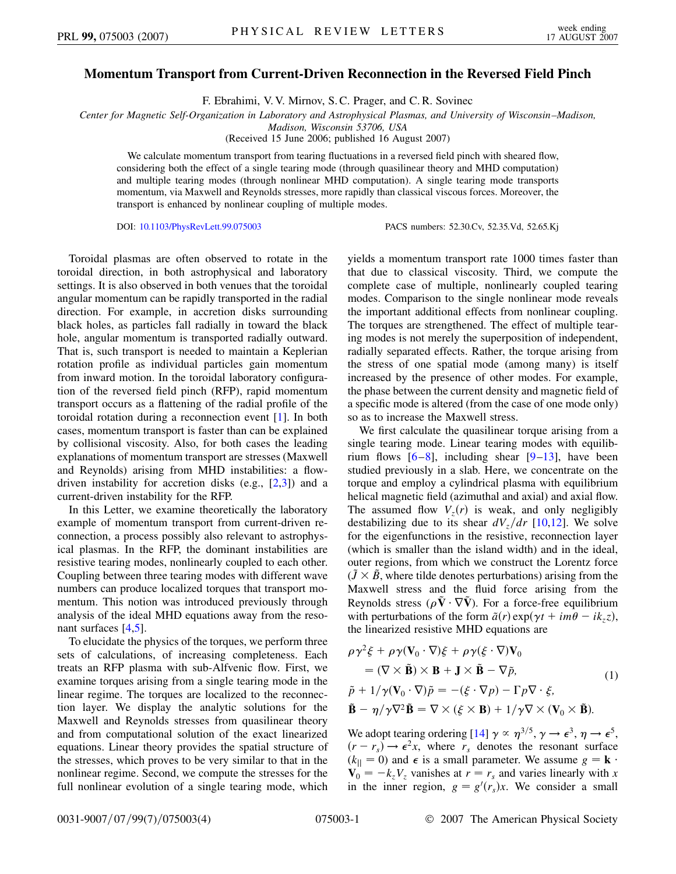## **Momentum Transport from Current-Driven Reconnection in the Reversed Field Pinch**

F. Ebrahimi, V. V. Mirnov, S. C. Prager, and C. R. Sovinec

*Center for Magnetic Self-Organization in Laboratory and Astrophysical Plasmas, and University of Wisconsin–Madison,*

*Madison, Wisconsin 53706, USA*

(Received 15 June 2006; published 16 August 2007)

We calculate momentum transport from tearing fluctuations in a reversed field pinch with sheared flow, considering both the effect of a single tearing mode (through quasilinear theory and MHD computation) and multiple tearing modes (through nonlinear MHD computation). A single tearing mode transports momentum, via Maxwell and Reynolds stresses, more rapidly than classical viscous forces. Moreover, the transport is enhanced by nonlinear coupling of multiple modes.

DOI: [10.1103/PhysRevLett.99.075003](http://dx.doi.org/10.1103/PhysRevLett.99.075003) PACS numbers: 52.30.Cv, 52.35.Vd, 52.65.Kj

Toroidal plasmas are often observed to rotate in the toroidal direction, in both astrophysical and laboratory settings. It is also observed in both venues that the toroidal angular momentum can be rapidly transported in the radial direction. For example, in accretion disks surrounding black holes, as particles fall radially in toward the black hole, angular momentum is transported radially outward. That is, such transport is needed to maintain a Keplerian rotation profile as individual particles gain momentum from inward motion. In the toroidal laboratory configuration of the reversed field pinch (RFP), rapid momentum transport occurs as a flattening of the radial profile of the toroidal rotation during a reconnection event [\[1](#page-3-0)]. In both cases, momentum transport is faster than can be explained by collisional viscosity. Also, for both cases the leading explanations of momentum transport are stresses (Maxwell and Reynolds) arising from MHD instabilities: a flowdriven instability for accretion disks (e.g., [\[2](#page-3-1)[,3](#page-3-2)]) and a current-driven instability for the RFP.

In this Letter, we examine theoretically the laboratory example of momentum transport from current-driven reconnection, a process possibly also relevant to astrophysical plasmas. In the RFP, the dominant instabilities are resistive tearing modes, nonlinearly coupled to each other. Coupling between three tearing modes with different wave numbers can produce localized torques that transport momentum. This notion was introduced previously through analysis of the ideal MHD equations away from the resonant surfaces [[4](#page-3-3),[5\]](#page-3-4).

To elucidate the physics of the torques, we perform three sets of calculations, of increasing completeness. Each treats an RFP plasma with sub-Alfvenic flow. First, we examine torques arising from a single tearing mode in the linear regime. The torques are localized to the reconnection layer. We display the analytic solutions for the Maxwell and Reynolds stresses from quasilinear theory and from computational solution of the exact linearized equations. Linear theory provides the spatial structure of the stresses, which proves to be very similar to that in the nonlinear regime. Second, we compute the stresses for the full nonlinear evolution of a single tearing mode, which yields a momentum transport rate 1000 times faster than that due to classical viscosity. Third, we compute the complete case of multiple, nonlinearly coupled tearing modes. Comparison to the single nonlinear mode reveals the important additional effects from nonlinear coupling. The torques are strengthened. The effect of multiple tearing modes is not merely the superposition of independent, radially separated effects. Rather, the torque arising from the stress of one spatial mode (among many) is itself increased by the presence of other modes. For example, the phase between the current density and magnetic field of a specific mode is altered (from the case of one mode only) so as to increase the Maxwell stress.

We first calculate the quasilinear torque arising from a single tearing mode. Linear tearing modes with equilibrium flows  $[6-8]$  $[6-8]$  $[6-8]$ , including shear  $[9-13]$  $[9-13]$  $[9-13]$  $[9-13]$ , have been studied previously in a slab. Here, we concentrate on the torque and employ a cylindrical plasma with equilibrium helical magnetic field (azimuthal and axial) and axial flow. The assumed flow  $V_z(r)$  is weak, and only negligibly destabilizing due to its shear  $dV_z/dr$  [[10](#page-3-9),[12](#page-3-10)]. We solve for the eigenfunctions in the resistive, reconnection layer (which is smaller than the island width) and in the ideal, outer regions, from which we construct the Lorentz force  $(\tilde{J} \times \tilde{B})$ , where tilde denotes perturbations) arising from the Maxwell stress and the fluid force arising from the Reynolds stress ( $\rho \tilde{V} \cdot \nabla \tilde{V}$ ). For a force-free equilibrium with perturbations of the form  $\tilde{a}(r) \exp(\gamma t + im\theta - ik_z z)$ , the linearized resistive MHD equations are

$$
\rho \gamma^2 \xi + \rho \gamma (\mathbf{V}_0 \cdot \nabla) \xi + \rho \gamma (\xi \cdot \nabla) \mathbf{V}_0
$$
  
= (\nabla \times \tilde{\mathbf{B}}) \times \mathbf{B} + \mathbf{J} \times \tilde{\mathbf{B}} - \nabla \tilde{p}, (1)  
\n\tilde{p} + 1/\gamma (\mathbf{V}\_0 \cdot \nabla) \tilde{p} = -(\xi \cdot \nabla p) - \Gamma p \nabla \cdot \xi,  
\n\tilde{\mathbf{B}} - \eta / \gamma \nabla^2 \tilde{\mathbf{B}} = \nabla \times (\xi \times \mathbf{B}) + 1/\gamma \nabla \times (\mathbf{V}\_0 \times \tilde{\mathbf{B}}).

We adopt tearing ordering [\[14\]](#page-3-11)  $\gamma \propto \eta^{3/5}$ ,  $\gamma \rightarrow \epsilon^3$ ,  $\eta \rightarrow \epsilon^5$ ,  $(r - r_s) \rightarrow \epsilon^2 x$ , where  $r_s$  denotes the resonant surface  $(k_{\parallel} = 0)$  and  $\epsilon$  is a small parameter. We assume  $g = \mathbf{k} \cdot \mathbf{k}$  $V_0 = -k_zV_z$  vanishes at  $r = r_s$  and varies linearly with *x* in the inner region,  $g = g'(r_s)x$ . We consider a small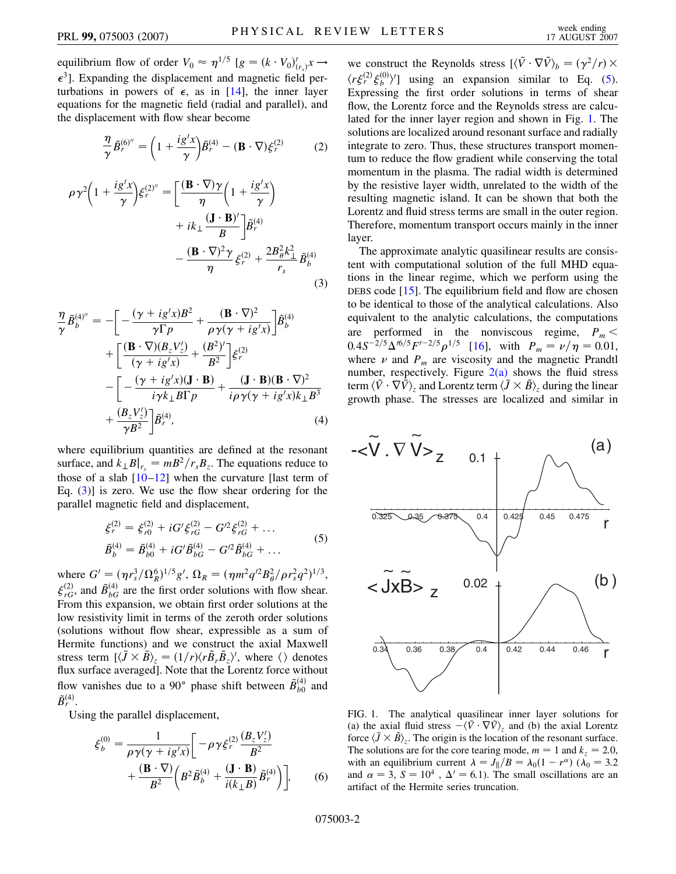equilibrium flow of order  $V_0 \approx \eta^{1/5}$  [ $g = (k \cdot V_0)_{(r_s)}^t x \rightarrow$  $\epsilon^3$ ]. Expanding the displacement and magnetic field perturbations in powers of  $\epsilon$ , as in [\[14\]](#page-3-11), the inner layer equations for the magnetic field (radial and parallel), and the displacement with flow shear become

<span id="page-1-0"></span>
$$
\frac{\eta}{\gamma} \tilde{B}_r^{(6)''} = \left(1 + \frac{ig'x}{\gamma}\right) \tilde{B}_r^{(4)} - (\mathbf{B} \cdot \nabla) \xi_r^{(2)} \tag{2}
$$

$$
\rho \gamma^2 \left( 1 + \frac{ig'x}{\gamma} \right) \xi_r^{(2)''} = \left[ \frac{(\mathbf{B} \cdot \nabla) \gamma}{\eta} \left( 1 + \frac{ig'x}{\gamma} \right) + ik_\perp \frac{(\mathbf{J} \cdot \mathbf{B})'}{B} \right] \tilde{B}_r^{(4)} - \frac{(\mathbf{B} \cdot \nabla)^2 \gamma}{\eta} \xi_r^{(2)} + \frac{2B_\theta^2 k_\perp^2}{r_s} \tilde{B}_b^{(4)} \tag{3}
$$

$$
\frac{\eta}{\gamma} \tilde{B}_{b}^{(4)''} = -\left[ -\frac{(\gamma + ig/x)B^2}{\gamma \Gamma p} + \frac{(\mathbf{B} \cdot \nabla)^2}{\rho \gamma (\gamma + ig/x)} \right] \tilde{B}_{b}^{(4)} \n+ \left[ \frac{(\mathbf{B} \cdot \nabla)(B_z V_z')}{(\gamma + ig/x)} + \frac{(B^2)'}{B^2} \right] \xi_r^{(2)} \n- \left[ -\frac{(\gamma + ig/x)(\mathbf{J} \cdot \mathbf{B})}{iyk_{\perp} B \Gamma p} + \frac{(\mathbf{J} \cdot \mathbf{B})(\mathbf{B} \cdot \nabla)^2}{i \rho \gamma (\gamma + ig/x) k_{\perp} B^3} + \frac{(B_z V_z')}{\gamma B^2} \right] \tilde{B}_r^{(4)},
$$
\n(4)

<span id="page-1-1"></span>where equilibrium quantities are defined at the resonant surface, and  $k_{\perp}B|_{r_s} = mB^2/r_sB_z$ . The equations reduce to those of a slab  $[10-12]$  $[10-12]$  $[10-12]$  $[10-12]$  $[10-12]$  when the curvature [last term of Eq.  $(3)$  $(3)$  $(3)$ ] is zero. We use the flow shear ordering for the parallel magnetic field and displacement,

$$
\xi_r^{(2)} = \xi_{r0}^{(2)} + iG'\xi_{rG}^{(2)} - G'^2\xi_{rG}^{(2)} + \dots
$$
  

$$
\tilde{B}_b^{(4)} = \tilde{B}_{b0}^{(4)} + iG'\tilde{B}_{bG}^{(4)} - G'^2\tilde{B}_{bG}^{(4)} + \dots
$$
 (5)

where  $G' = (\eta r_s^3 / \Omega_R^6)^{1/5} g'$ ,  $\Omega_R = (\eta m^2 q'^2 B_\theta^2 / \rho r_s^2 q^2)^{1/3}$ ,  $\xi_{rG}^{(2)}$ , and  $\tilde{B}_{bG}^{(4)}$  are the first order solutions with flow shear. From this expansion, we obtain first order solutions at the low resistivity limit in terms of the zeroth order solutions (solutions without flow shear, expressible as a sum of Hermite functions) and we construct the axial Maxwell stress term  $[\langle \tilde{J} \times \tilde{B} \rangle_z = (1/r) \langle r \tilde{B}_r \tilde{B}_z \rangle'$ , where  $\langle \rangle$  denotes flux surface averaged]. Note that the Lorentz force without flow vanishes due to a 90 $^{\circ}$  phase shift between  $\tilde{B}_{b0}^{(4)}$  and  $\tilde{B}_r^{(4)}$ .

Using the parallel displacement,

$$
\xi_b^{(0)} = \frac{1}{\rho \gamma (\gamma + ig^{\prime} x)} \left[ -\rho \gamma \xi_r^{(2)} \frac{(B_z V_z^{\prime})}{B^2} + \frac{(\mathbf{B} \cdot \nabla)}{B^2} \left( B^2 \tilde{B}_b^{(4)} + \frac{(\mathbf{J} \cdot \mathbf{B})}{i(k_{\perp} B)} \tilde{B}_r^{(4)} \right) \right],
$$
 (6)

we construct the Reynolds stress  $\left[\langle \tilde{V} \cdot \nabla \tilde{V} \rangle_b = (\gamma^2/r) \times \right]$  $\langle r \xi_r^{(2)} \xi_b^{(0)} \rangle$  using an expansion similar to Eq. ([5\)](#page-1-1). Expressing the first order solutions in terms of shear flow, the Lorentz force and the Reynolds stress are calculated for the inner layer region and shown in Fig. [1.](#page-1-2) The solutions are localized around resonant surface and radially integrate to zero. Thus, these structures transport momentum to reduce the flow gradient while conserving the total momentum in the plasma. The radial width is determined by the resistive layer width, unrelated to the width of the resulting magnetic island. It can be shown that both the Lorentz and fluid stress terms are small in the outer region. Therefore, momentum transport occurs mainly in the inner layer.

The approximate analytic quasilinear results are consistent with computational solution of the full MHD equations in the linear regime, which we perform using the DEBS code  $[15]$ . The equilibrium field and flow are chosen to be identical to those of the analytical calculations. Also equivalent to the analytic calculations, the computations are performed in the nonviscous regime,  $P_m$  <  $0.4S^{-2/5}\Delta^{16/5}F^{1-2/5}\rho^{1/5}$  [\[16\]](#page-3-13), with  $P_m = \nu/\eta = 0.01$ , where  $\nu$  and  $P_m$  are viscosity and the magnetic Prandtl number, respectively. Figure  $2(a)$  shows the fluid stress term  $\langle \tilde{V} \cdot \nabla \tilde{V} \rangle_z$  and Lorentz term  $\langle \tilde{J} \times \tilde{B} \rangle_z$  during the linear growth phase. The stresses are localized and similar in

<span id="page-1-2"></span>

FIG. 1. The analytical quasilinear inner layer solutions for (a) the axial fluid stress  $-\langle \tilde{V} \cdot \nabla \tilde{V} \rangle$ <sub>z</sub> and (b) the axial Lorentz force  $\langle \tilde{J} \times \tilde{B} \rangle_z$ . The origin is the location of the resonant surface. The solutions are for the core tearing mode,  $m = 1$  and  $k_z = 2.0$ , with an equilibrium current  $\lambda = J_{\parallel}/B = \lambda_0(1 - r^{\alpha})$  ( $\lambda_0 = 3.2$ ) and  $\alpha = 3$ ,  $S = 10^4$ ,  $\Delta' = 6.1$ ). The small oscillations are an artifact of the Hermite series truncation.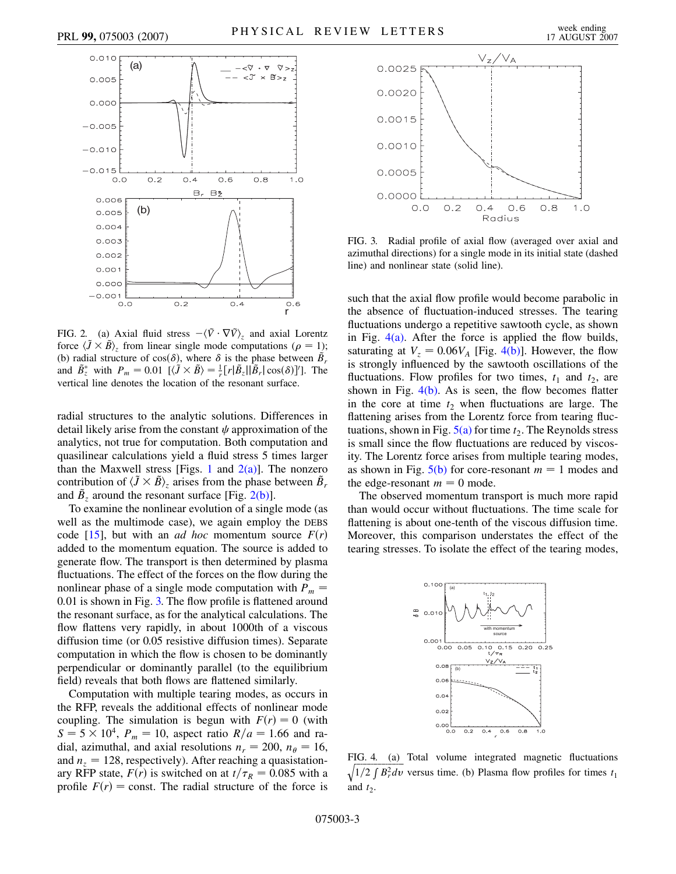

<span id="page-2-0"></span>FIG. 2. (a) Axial fluid stress  $-\langle \tilde{V} \cdot \nabla \tilde{V} \rangle_z$  and axial Lorentz force  $\langle \tilde{J} \times \tilde{B} \rangle_z$  from linear single mode computations ( $\rho = 1$ ); (b) radial structure of cos( $\delta$ ), where  $\delta$  is the phase between  $\tilde{B}_r$ and  $\tilde{B}_{z}^{*}$  with  $P_{m} = 0.01 \left[ \langle \tilde{J} \times \tilde{B} \rangle = \frac{1}{r} \left[ r | \tilde{B}_{z} | \tilde{B}_{r} | \cos(\delta) \right] \right]$ . The vertical line denotes the location of the resonant surface.

radial structures to the analytic solutions. Differences in detail likely arise from the constant  $\psi$  approximation of the analytics, not true for computation. Both computation and quasilinear calculations yield a fluid stress 5 times larger than the Maxwell stress [Figs. [1](#page-1-2) and  $2(a)$ ]. The nonzero contribution of  $\langle \tilde{J} \times \tilde{B} \rangle_z$  arises from the phase between  $\tilde{B}_r$ and  $\ddot{B}_z$  around the resonant surface [Fig. [2\(b\)](#page-2-0)].

To examine the nonlinear evolution of a single mode (as well as the multimode case), we again employ the DEBS code [\[15\]](#page-3-12), but with an *ad hoc* momentum source  $F(r)$ added to the momentum equation. The source is added to generate flow. The transport is then determined by plasma fluctuations. The effect of the forces on the flow during the nonlinear phase of a single mode computation with  $P_m =$ 0*:*01 is shown in Fig. [3.](#page-2-1) The flow profile is flattened around the resonant surface, as for the analytical calculations. The flow flattens very rapidly, in about 1000th of a viscous diffusion time (or 0.05 resistive diffusion times). Separate computation in which the flow is chosen to be dominantly perpendicular or dominantly parallel (to the equilibrium field) reveals that both flows are flattened similarly.

Computation with multiple tearing modes, as occurs in the RFP, reveals the additional effects of nonlinear mode coupling. The simulation is begun with  $F(r) = 0$  (with  $S = 5 \times 10^4$ ,  $P_m = 10$ , aspect ratio  $R/a = 1.66$  and radial, azimuthal, and axial resolutions  $n_r = 200$ ,  $n_\theta = 16$ , and  $n_z = 128$ , respectively). After reaching a quasistationary RFP state,  $F(r)$  is switched on at  $t/\tau_R = 0.085$  with a profile  $F(r) = \text{const.}$  The radial structure of the force is

<span id="page-2-1"></span>

FIG. 3. Radial profile of axial flow (averaged over axial and azimuthal directions) for a single mode in its initial state (dashed line) and nonlinear state (solid line).

such that the axial flow profile would become parabolic in the absence of fluctuation-induced stresses. The tearing fluctuations undergo a repetitive sawtooth cycle, as shown in Fig.  $4(a)$ . After the force is applied the flow builds, saturating at  $V_z = 0.06V_A$  [Fig. [4\(b\)](#page-2-2)]. However, the flow is strongly influenced by the sawtooth oscillations of the fluctuations. Flow profiles for two times,  $t_1$  and  $t_2$ , are shown in Fig.  $4(b)$ . As is seen, the flow becomes flatter in the core at time  $t_2$  when fluctuations are large. The flattening arises from the Lorentz force from tearing fluctuations, shown in Fig.  $5(a)$  for time  $t_2$ . The Reynolds stress is small since the flow fluctuations are reduced by viscosity. The Lorentz force arises from multiple tearing modes, as shown in Fig.  $5(b)$  for core-resonant  $m = 1$  modes and the edge-resonant  $m = 0$  mode.

The observed momentum transport is much more rapid than would occur without fluctuations. The time scale for flattening is about one-tenth of the viscous diffusion time. Moreover, this comparison understates the effect of the tearing stresses. To isolate the effect of the tearing modes,



<span id="page-2-2"></span>FIG. 4. (a) Total volume integrated magnetic fluctuations  $\sqrt{1/2 \int B_r^2 dv}$  versus time. (b) Plasma flow profiles for times  $t_1$ and  $t_2$ .